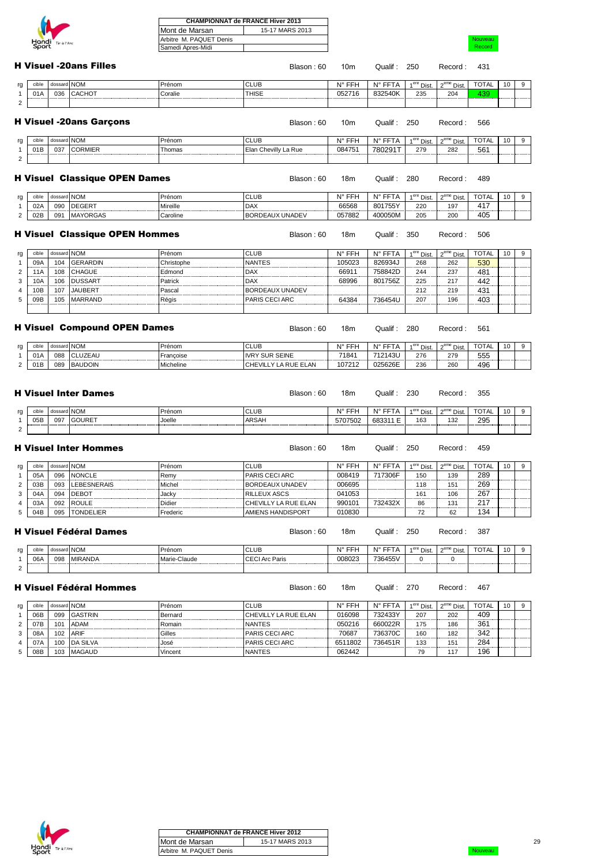| Hondi | Tir à l'Arc |
|-------|-------------|

|                  |             |                                       | Mont de Marsan          | 15-17 MARS 2013        |                 |             |                        |                        |              |    |                  |
|------------------|-------------|---------------------------------------|-------------------------|------------------------|-----------------|-------------|------------------------|------------------------|--------------|----|------------------|
|                  |             |                                       | Arbitre M. PAQUET Denis |                        |                 |             |                        |                        | Nouveau      |    |                  |
| Hondi Tirà l'Arc |             | Samedi Apres-Midi                     |                         |                        |                 |             |                        | Record                 |              |    |                  |
|                  |             |                                       |                         |                        |                 |             |                        |                        |              |    |                  |
|                  |             | <b>H Visuel -20ans Filles</b>         |                         | Blason: 60             | 10 <sub>m</sub> | Qualif: 250 |                        | Record:                | 431          |    |                  |
| cible            | dossard NOM |                                       | Prénom                  | <b>CLUB</b>            | N° FFH          | N° FFTA     | 1 <sup>ere</sup> Dist. | 2 <sup>eme</sup> Dist. | <b>TOTAL</b> | 10 | 9                |
|                  |             |                                       | Coralie                 | <b>THISE</b>           |                 |             |                        |                        |              |    |                  |
| 01A              | 036         | <b>CACHOT</b>                         |                         |                        | 052716          | 832540K     | 235                    | 204                    | 439          |    |                  |
|                  |             |                                       |                         |                        |                 |             |                        |                        |              |    |                  |
|                  |             | <b>H Visuel -20ans Garçons</b>        |                         | Blason: 60             | 10 <sub>m</sub> | Qualif :    | 250                    | Record:                | 566          |    |                  |
| cible            | dossard NOM |                                       | Prénom                  | <b>CLUB</b>            | N° FFH          | N° FFTA     | 1 <sup>ere</sup> Dist. | $2eme$ Dist.           | <b>TOTAL</b> | 10 | 9                |
| 01B              | 037         | <b>CORMIER</b>                        | Thomas                  | Elan Chevilly La Rue   | 084751          | 780291T     | 279                    | 282                    | 561          |    |                  |
|                  |             |                                       |                         |                        |                 |             |                        |                        |              |    |                  |
|                  |             | <b>H Visuel Classique OPEN Dames</b>  |                         | Blason: 60             | 18m             | Qualif:     | 280                    | Record:                | 489          |    |                  |
| cible            | dossard NOM |                                       | Prénom                  | <b>CLUB</b>            | N° FFH          | N° FFTA     | 1 <sup>ere</sup> Dist. | 2 <sup>eme</sup> Dist. | <b>TOTAL</b> | 10 | 9                |
| 02A              | 090         | <b>DEGERT</b>                         | Mireille                | <b>DAX</b>             | 66568           | 801755Y     | 220                    | 197                    | 417          |    |                  |
| 02B              | 091         | <b>MAYORGAS</b>                       | Caroline                | BORDEAUX UNADEV        | 057882          | 400050M     | 205                    | 200                    | 405          |    |                  |
|                  |             |                                       |                         |                        |                 |             |                        |                        |              |    |                  |
|                  |             | <b>H Visuel Classique OPEN Hommes</b> |                         | Blason: 60             | 18m             | Qualif :    | 350                    | Record:                | 506          |    |                  |
| cible            | dossard NOM |                                       | Prénom                  | <b>CLUB</b>            | N° FFH          | N° FFTA     | 1 <sup>ere</sup> Dist  | 2 <sup>eme</sup> Dist. | <b>TOTAL</b> | 10 | 9                |
| 09A              | 104         | <b>GERARDIN</b>                       | Christophe              | <b>NANTES</b>          | 105023          | 826934J     | 268                    | 262                    | 530          |    |                  |
| 11A              | 108         | <b>CHAGUE</b>                         | Edmond                  | <b>DAX</b>             | 66911           | 758842D     | 244                    | 237                    | 481          |    |                  |
| 10A              | 106         | <b>DUSSART</b>                        | Patrick                 | <b>DAX</b>             | 68996           | 801756Z     | 225                    | 217                    | 442          |    |                  |
| 10B              | 107         | <b>JAUBERT</b>                        | Pascal                  | <b>BORDEAUX UNADEV</b> |                 |             | 212                    | 219                    | 431          |    |                  |
| 09B              | 105         | <b>MARRAND</b>                        | Régis                   | PARIS CECI ARC         | 64384           | 736454U     | 207                    | 196                    | 403          |    |                  |
|                  |             |                                       |                         |                        |                 |             |                        |                        |              |    |                  |
|                  |             |                                       |                         |                        |                 |             |                        |                        |              |    |                  |
|                  |             | <b>H Visuel Compound OPEN Dames</b>   |                         | Blason: 60             | 18m             | Qualif:     | 280                    | Record:                | 561          |    |                  |
| cible            | dossard NOM |                                       | Prénom                  | <b>CLUB</b>            | N° FFH          | N° FFTA     | $1ere$ Dist.           | 2 <sup>eme</sup> Dist. | <b>TOTAL</b> | 10 | $\boldsymbol{9}$ |
| 01A              | 088         | CLUZEAU                               | Françoise               | <b>IVRY SUR SEINE</b>  | 71841           | 712143U     | 276                    | 279                    | 555          |    |                  |
| 01B              | 089         | <b>BAUDOIN</b>                        | Micheline               | CHEVILLY LA RUE ELAN   | 107212          | 025626E     | 236                    | 260                    | 496          |    |                  |
|                  |             |                                       |                         |                        |                 |             |                        |                        |              |    |                  |
|                  |             | <b>H</b> Visuel Inter Dames           |                         | Blason: 60             | 18m             | Qualif: 230 |                        | Record:                | 355          |    |                  |
| cible            | dossard NOM |                                       | Prénom                  | <b>CLUB</b>            | N° FFH          | N° FFTA     | 1 <sup>ere</sup> Dist. | 2 <sup>eme</sup> Dist. | <b>TOTAL</b> | 10 | 9                |
| 05B              | 097         | <b>GOURET</b>                         | Joelle                  | <b>ARSAH</b>           | 5707502         | 683311 E    | 163                    | 132                    | 295          |    |                  |
|                  |             |                                       |                         |                        |                 |             |                        |                        |              |    |                  |
|                  |             | <b>H</b> Visuel Inter Hommes          |                         | Blason: 60             | 18m             | Qualif:     | 250                    | Record:                | 459          |    |                  |
| cible            | dossard NOM |                                       | Prénom                  | <b>CLUB</b>            | N° FFH          | N° FFTA     | 1 <sup>ere</sup> Dist  | 2 <sup>eme</sup> Dist. | TOTAL        | 10 | 9                |
| 05A              | 096         | <b>NONCLE</b>                         | Remy                    | PARIS CECI ARC         | 008419          | 717306F     | 150                    | 139                    | 289          |    |                  |
| 03B              | 093         | <b>LEBESNERAIS</b>                    | Michel                  | BORDEAUX UNADEV        | 006695          |             | 118                    | 151                    | 269          |    |                  |
| 04A              | 094         | <b>DEBOT</b>                          | Jacky                   | <b>RILLEUX ASCS</b>    | 041053          |             | 161                    | 106                    | 267          |    |                  |
| 03A              | 092         | <b>ROULE</b>                          | Didier                  | CHEVILLY LA RUE ELAN   | 990101          | 732432X     | 86                     | 131                    | 217          |    |                  |
| 04B              | 095         | <b>TONDELIER</b>                      | Frederic                | AMIENS HANDISPORT      | 010830          |             | 72                     | 62                     | 134          |    |                  |
|                  |             |                                       |                         |                        |                 |             |                        |                        |              |    |                  |
|                  |             | <b>H Visuel Fédéral Dames</b>         |                         | Blason: 60             | 18m             | Qualif: 250 |                        | Record:                | 387          |    |                  |
| cible            | dossard NOM |                                       | Prénom                  | <b>CLUB</b>            | N° FFH          | N° FFTA     | 1 <sup>ere</sup> Dist. | 2 <sup>eme</sup> Dist. | <b>TOTAL</b> | 10 | 9                |
| 06A              | 098         | <b>MIRANDA</b>                        | Marie-Claude            | <b>CECI Arc Paris</b>  | 008023          | 736455V     | 0                      | 0                      |              |    |                  |
|                  |             |                                       |                         |                        |                 |             |                        |                        |              |    |                  |
|                  |             | <b>H Visuel Fédéral Hommes</b>        |                         | Blason: 60             | 18m             | Qualif: 270 |                        | Record:                | 467          |    |                  |
| cible            | dossard NOM |                                       | Prénom                  | <b>CLUB</b>            | N° FFH          | N° FFTA     | 1 <sup>ere</sup> Dist. | 2 <sup>eme</sup> Dist. | <b>TOTAL</b> | 10 | 9                |
| 06B              | 099         | <b>GASTRIN</b>                        | Bernard                 | CHEVILLY LA RUE ELAN   | 016098          | 732433Y     | 207                    | 202                    | 409          |    |                  |
| 07B              | 101         | <b>ADAM</b>                           | Romain                  | <b>NANTES</b>          | 050216          | 660022R     | 175                    | 186                    | 361          |    |                  |

**CHAMPIONNAT de FRANCE Hiver 2013**



3 08A 102 ARIF Gilles PARIS CECI ARC 70687 736370C 160 182 342 4 07A 100 DA SILVA José PARIS CECI ARC 6511802 736451R 133 151 284 5 08B 103 MAGAUD Vincent NANTES 062442 79 117 196

Record